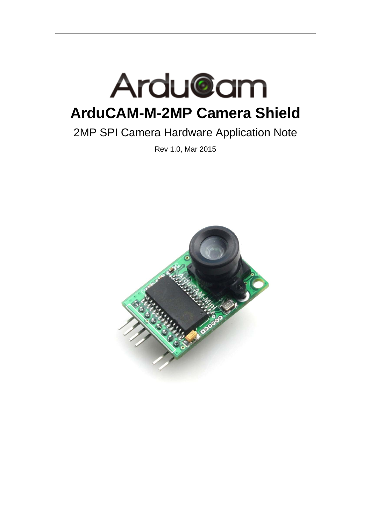

# 2MP SPI Camera Hardware Application Note

Rev 1.0, Mar 2015

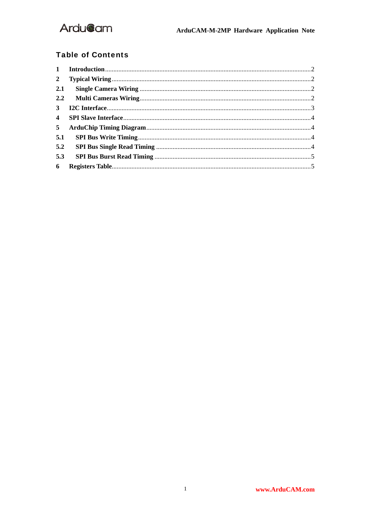### **Table of Contents**

| $2^{\circ}$    |  |
|----------------|--|
| 2.1            |  |
|                |  |
| 3 <sup>1</sup> |  |
| $\overline{4}$ |  |
| 5 <sup>5</sup> |  |
| 5.1            |  |
| 5.2            |  |
| 5.3            |  |
| 6              |  |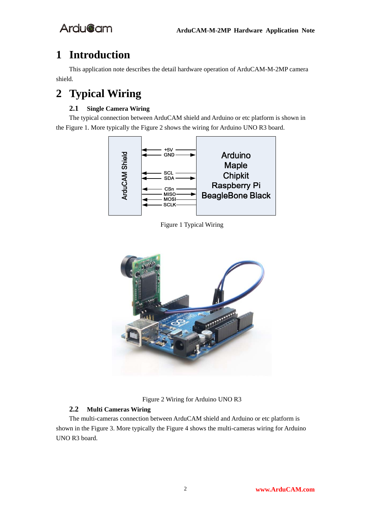## **1 Introduction**

This application note describes the detail hardware operation of ArduCAM-M-2MP camera shield.

# **2 Typical Wiring**

#### **2.1 Single Camera Wiring**

The typical connection between ArduCAM shield and Arduino or etc platform is shown in the Figure 1. More typically the Figure 2 shows the wiring for Arduino UNO R3 board.



Figure 1 Typical Wiring



Figure 2 Wiring for Arduino UNO R3

#### **2.2 Multi Cameras Wiring**

The multi-cameras connection between ArduCAM shield and Arduino or etc platform is shown in the Figure 3. More typically the Figure 4 shows the multi-cameras wiring for Arduino UNO R3 board.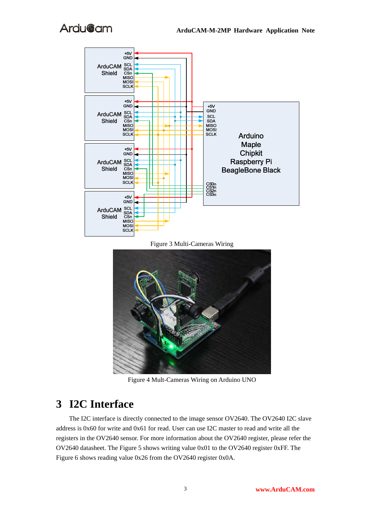

Figure 3 Multi-Cameras Wiring



Figure 4 Mult-Cameras Wiring on Arduino UNO

### **3 I2C Interface**

The I2C interface is directly connected to the image sensor OV2640. The OV2640 I2C slave address is 0x60 for write and 0x61 for read. User can use I2C master to read and write all the registers in the OV2640 sensor. For more information about the OV2640 register, please refer the OV2640 datasheet. The Figure 5 shows writing value 0x01 to the OV2640 register 0xFF. The Figure 6 shows reading value 0x26 from the OV2640 register 0x0A.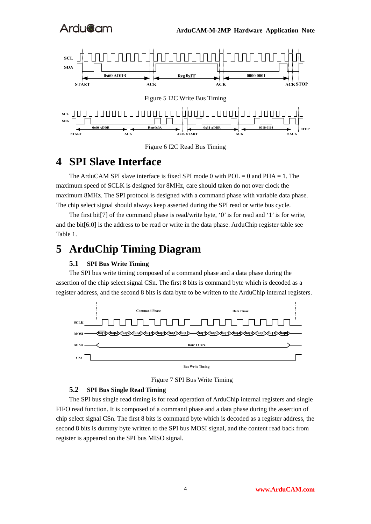



### **4 SPI Slave Interface**

The ArduCAM SPI slave interface is fixed SPI mode 0 with  $POL = 0$  and  $PHA = 1$ . The maximum speed of SCLK is designed for 8MHz, care should taken do not over clock the maximum 8MHz. The SPI protocol is designed with a command phase with variable data phase. The chip select signal should always keep asserted during the SPI read or write bus cycle.

The first bit[7] of the command phase is read/write byte, '0' is for read and '1' is for write, and the bit[6:0] is the address to be read or write in the data phase. ArduChip register table see Table 1.

### **5 ArduChip Timing Diagram**

#### **5.1 SPI Bus Write Timing**

The SPI bus write timing composed of a command phase and a data phase during the assertion of the chip select signal CSn. The first 8 bits is command byte which is decoded as a register address, and the second 8 bits is data byte to be written to the ArduChip internal registers.



Figure 7 SPI Bus Write Timing

#### **5.2 SPI Bus Single Read Timing**

The SPI bus single read timing is for read operation of ArduChip internal registers and single FIFO read function. It is composed of a command phase and a data phase during the assertion of chip select signal CSn. The first 8 bits is command byte which is decoded as a register address, the second 8 bits is dummy byte written to the SPI bus MOSI signal, and the content read back from register is appeared on the SPI bus MISO signal.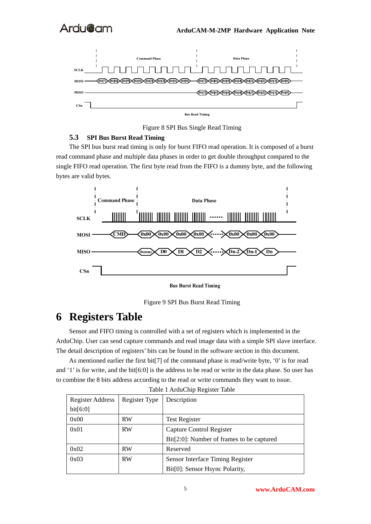

Figure 8 SPI Bus Single Read Timing

#### **5.3 SPI Bus Burst Read Timing**

The SPI bus burst read timing is only for burst FIFO read operation. It is composed of a burst read command phase and multiple data phases in order to get double throughput compared to the single FIFO read operation. The first byte read from the FIFO is a dummy byte, and the following bytes are valid bytes.



**Bus Burst Read Timing** 



### **6 Registers Table**

Sensor and FIFO timing is controlled with a set of registers which is implemented in the ArduChip. User can send capture commands and read image data with a simple SPI slave interface. The detail description of registers' bits can be found in the software section in this document.

As mentioned earlier the first bit[7] of the command phase is read/write byte, '0' is for read and '1' is for write, and the bit[6:0] is the address to be read or write in the data phase. So user has to combine the 8 bits address according to the read or write commands they want to issue.

| rable 17 heachip Register Table |               |                                           |  |  |  |
|---------------------------------|---------------|-------------------------------------------|--|--|--|
| <b>Register Address</b>         | Register Type | Description                               |  |  |  |
| bit[6:0]                        |               |                                           |  |  |  |
| 0x00                            | <b>RW</b>     | <b>Test Register</b>                      |  |  |  |
| 0x01                            | <b>RW</b>     | Capture Control Register                  |  |  |  |
|                                 |               | Bit[2:0]: Number of frames to be captured |  |  |  |
| 0x02                            | <b>RW</b>     | Reserved                                  |  |  |  |
| 0x03                            | <b>RW</b>     | Sensor Interface Timing Register          |  |  |  |
|                                 |               | Bit[0]: Sensor Hsync Polarity,            |  |  |  |

Table 1 ArduChip Register Table